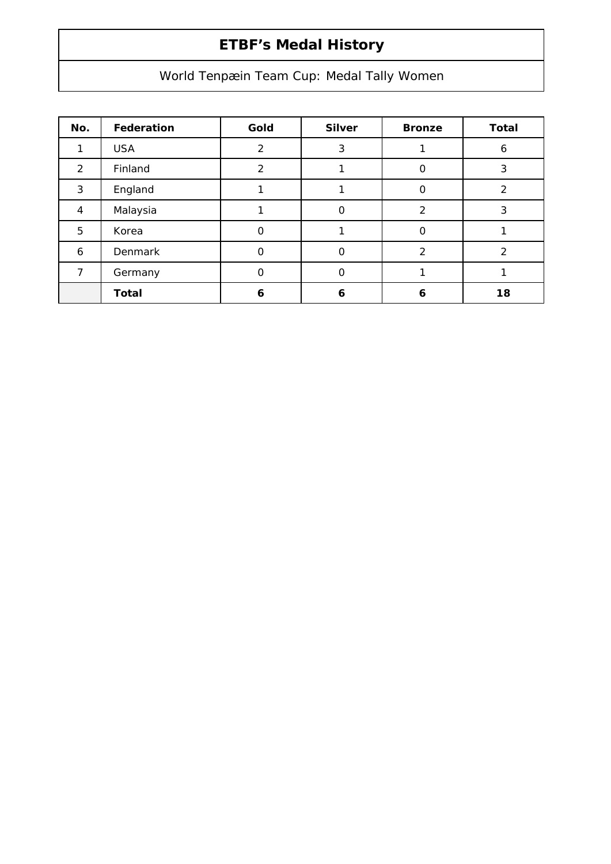## **ETBF's Medal History**

## World Tenpæin Team Cup: Medal Tally Women

| No. | Federation   | Gold | <b>Silver</b> | <b>Bronze</b> | <b>Total</b>  |
|-----|--------------|------|---------------|---------------|---------------|
| 1   | <b>USA</b>   | 2    | 3             |               | 6             |
| 2   | Finland      | 2    |               | Ο             | 3             |
| 3   | England      |      |               | 0             | $\mathcal{P}$ |
| 4   | Malaysia     |      | 0             | 2             | 3             |
| 5   | Korea        | Ω    |               | O             |               |
| 6   | Denmark      | Ω    | 0             | 2             | $\mathcal{P}$ |
| 7   | Germany      | O    | 0             |               |               |
|     | <b>Total</b> | 6    | 6             | 6             | 18            |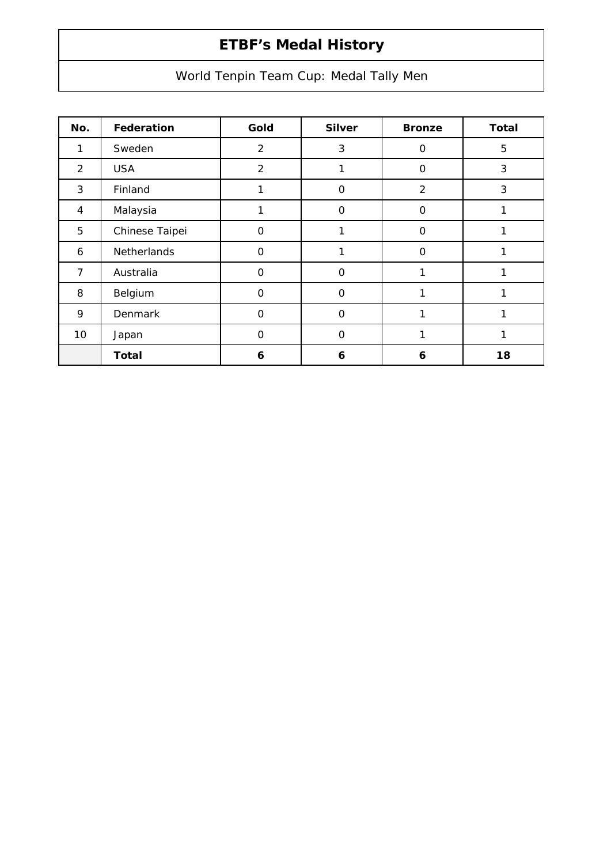## **ETBF's Medal History**

World Tenpin Team Cup: Medal Tally Men

| No.            | Federation         | Gold           | <b>Silver</b> | <b>Bronze</b>  | <b>Total</b> |
|----------------|--------------------|----------------|---------------|----------------|--------------|
| 1              | Sweden             | $\overline{2}$ | 3             | 0              | 5            |
| 2              | <b>USA</b>         | $\overline{2}$ |               | 0              | 3            |
| 3              | Finland            |                | $\Omega$      | $\overline{2}$ | 3            |
| 4              | Malaysia           |                | $\Omega$      | $\mathbf 0$    |              |
| 5              | Chinese Taipei     | $\Omega$       | 1             | $\mathbf 0$    |              |
| 6              | <b>Netherlands</b> | $\mathbf{O}$   | 1             | O              | и            |
| $\overline{7}$ | Australia          | $\mathbf{O}$   | $\Omega$      | 1              |              |
| 8              | Belgium            | $\mathbf 0$    | $\Omega$      | 1              |              |
| 9              | <b>Denmark</b>     | $\Omega$       | $\Omega$      | 1              |              |
| 10             | Japan              | $\Omega$       | $\Omega$      | 1              |              |
|                | <b>Total</b>       | 6              | 6             | 6              | 18           |